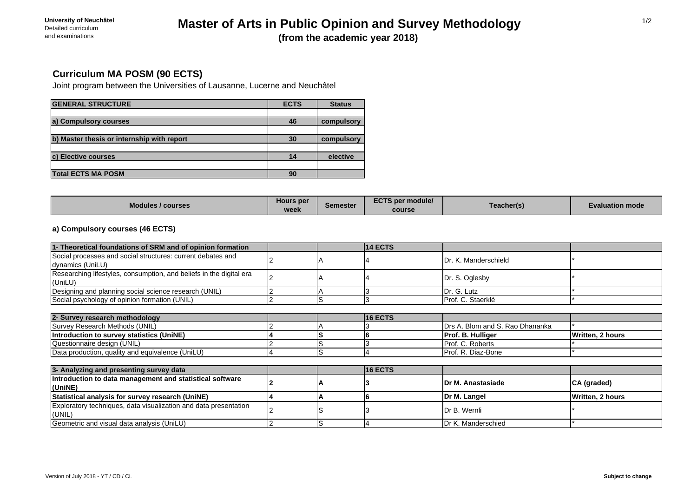# **Master of Arts in Public Opinion and Survey Methodology (from the academic year 2018)**

# **Curriculum MA POSM (90 ECTS)**

Joint program between the Universities of Lausanne, Lucerne and Neuchâtel

| <b>GENERAL STRUCTURE</b>                   | <b>ECTS</b> | <b>Status</b> |
|--------------------------------------------|-------------|---------------|
|                                            |             |               |
| a) Compulsory courses                      | 46          | compulsory    |
|                                            |             |               |
| b) Master thesis or internship with report | 30          | compulsory    |
|                                            |             |               |
| <b>c) Elective courses</b>                 | 14          | elective      |
|                                            |             |               |
| <b>Total ECTS MA POSM</b>                  | 90          |               |

| <b>Modules / courses</b> | Hours per<br>week | Semester | <b>ECTS per module/</b><br>course | <b>Feacher(s)</b> | <b>Evaluation mode</b> |
|--------------------------|-------------------|----------|-----------------------------------|-------------------|------------------------|
|--------------------------|-------------------|----------|-----------------------------------|-------------------|------------------------|

## **a) Compulsory courses (46 ECTS)**

| 1- Theoretical foundations of SRM and of opinion formation                      |  | <b>14 ECTS</b> |                                 |                  |
|---------------------------------------------------------------------------------|--|----------------|---------------------------------|------------------|
| Social processes and social structures: current debates and<br>dynamics (UniLU) |  |                | IDr. K. Manderschield           |                  |
| Researching lifestyles, consumption, and beliefs in the digital era<br>(UniLU)  |  |                | Dr. S. Oglesby                  |                  |
| Designing and planning social science research (UNIL)                           |  |                | Dr. G. Lutz                     |                  |
| Social psychology of opinion formation (UNIL)                                   |  |                | Prof. C. Staerklé               |                  |
|                                                                                 |  |                |                                 |                  |
| 2- Survey research methodology                                                  |  | <b>16 ECTS</b> |                                 |                  |
| Survey Research Methods (UNIL)                                                  |  |                | Drs A. Blom and S. Rao Dhananka |                  |
| Introduction to survey statistics (UniNE)                                       |  |                | Prof. B. Hulliger               | Written, 2 hours |
| Questionnaire design (UNIL)                                                     |  |                | Prof. C. Roberts                |                  |
| Data production, quality and equivalence (UniLU)                                |  |                | Prof. R. Diaz-Bone              |                  |
|                                                                                 |  |                |                                 |                  |
| 3- Analyzing and presenting survey data                                         |  | 16 ECTS        |                                 |                  |
| Introduction to data management and statistical software<br>(UniNE)             |  |                | IDr M. Anastasiade              | CA (graded)      |
| Statistical analysis for survey research (UniNE)                                |  |                | Dr M. Langel                    | Written, 2 hours |
| Exploratory techniques, data visualization and data presentation<br>(UNIL)      |  |                | Dr B. Wernli                    |                  |
| Geometric and visual data analysis (UniLU)                                      |  |                | Dr K. Manderschied              |                  |